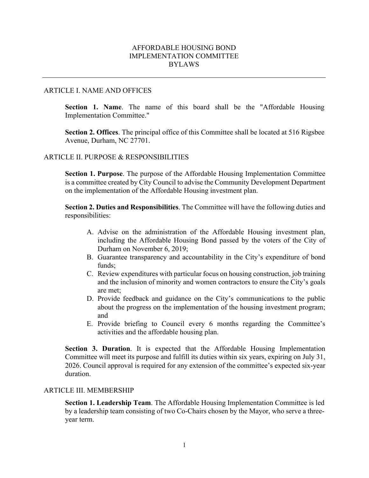# AFFORDABLE HOUSING BOND IMPLEMENTATION COMMITTEE BYLAWS

### ARTICLE I. NAME AND OFFICES

**Section 1. Name**. The name of this board shall be the "Affordable Housing Implementation Committee."

**Section 2. Offices**. The principal office of this Committee shall be located at 516 Rigsbee Avenue, Durham, NC 27701.

### ARTICLE II. PURPOSE & RESPONSIBILITIES

**Section 1. Purpose**. The purpose of the Affordable Housing Implementation Committee is a committee created by City Council to advise the Community Development Department on the implementation of the Affordable Housing investment plan.

**Section 2. Duties and Responsibilities**. The Committee will have the following duties and responsibilities:

- A. Advise on the administration of the Affordable Housing investment plan, including the Affordable Housing Bond passed by the voters of the City of Durham on November 6, 2019;
- B. Guarantee transparency and accountability in the City's expenditure of bond funds;
- C. Review expenditures with particular focus on housing construction, job training and the inclusion of minority and women contractors to ensure the City's goals are met;
- D. Provide feedback and guidance on the City's communications to the public about the progress on the implementation of the housing investment program; and
- E. Provide briefing to Council every 6 months regarding the Committee's activities and the affordable housing plan.

**Section 3. Duration**. It is expected that the Affordable Housing Implementation Committee will meet its purpose and fulfill its duties within six years, expiring on July 31, 2026. Council approval is required for any extension of the committee's expected six-year duration.

#### ARTICLE III. MEMBERSHIP

**Section 1. Leadership Team**. The Affordable Housing Implementation Committee is led by a leadership team consisting of two Co-Chairs chosen by the Mayor, who serve a threeyear term.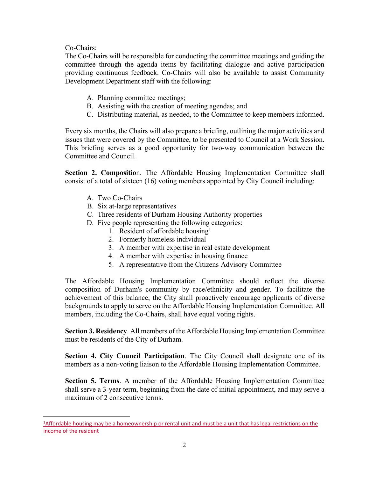# Co-Chairs:

The Co-Chairs will be responsible for conducting the committee meetings and guiding the committee through the agenda items by facilitating dialogue and active participation providing continuous feedback. Co-Chairs will also be available to assist Community Development Department staff with the following:

- A. Planning committee meetings;
- B. Assisting with the creation of meeting agendas; and
- C. Distributing material, as needed, to the Committee to keep members informed.

Every six months, the Chairs will also prepare a briefing, outlining the major activities and issues that were covered by the Committee, to be presented to Council at a Work Session. This briefing serves as a good opportunity for two-way communication between the Committee and Council.

**Section 2. Compositio**n. The Affordable Housing Implementation Committee shall consist of a total of sixteen (16) voting members appointed by City Council including:

- A. Two Co-Chairs
- B. Six at-large representatives
- C. Three residents of Durham Housing Authority properties
- D. Five people representing the following categories:
	- 1. Resident of affordable housing<sup>1</sup>
	- 2. Formerly homeless individual
	- 3. A member with expertise in real estate development
	- 4. A member with expertise in housing finance
	- 5. A representative from the Citizens Advisory Committee

The Affordable Housing Implementation Committee should reflect the diverse composition of Durham's community by race/ethnicity and gender. To facilitate the achievement of this balance, the City shall proactively encourage applicants of diverse backgrounds to apply to serve on the Affordable Housing Implementation Committee. All members, including the Co-Chairs, shall have equal voting rights.

**Section 3. Residency**. All members of the Affordable Housing Implementation Committee must be residents of the City of Durham.

**Section 4. City Council Participation**. The City Council shall designate one of its members as a non-voting liaison to the Affordable Housing Implementation Committee.

**Section 5. Terms**. A member of the Affordable Housing Implementation Committee shall serve a 3-year term, beginning from the date of initial appointment, and may serve a maximum of 2 consecutive terms.

<sup>&</sup>lt;sup>1</sup>Affordable housing may be a homeownership or rental unit and must be a unit that has legal restrictions on the income of the resident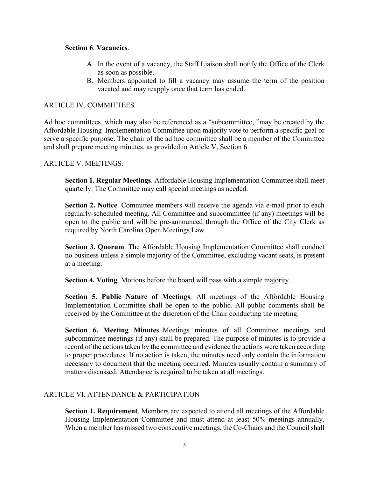## **Section 6**. **Vacancies**.

- A. In the event of a vacancy, the Staff Liaison shall notify the Office of the Clerk as soon as possible.
- B. Members appointed to fill a vacancy may assume the term of the position vacated and may reapply once that term has ended.

# ARTICLE IV. COMMITTEES

Ad hoc committees, which may also be referenced as a "subcommittee, "may be created by the Affordable Housing Implementation Committee upon majority vote to perform a specific goal or serve a specific purpose. The chair of the ad hoc committee shall be a member of the Committee and shall prepare meeting minutes, as provided in Article V, Section 6.

## ARTICLE V. MEETINGS.

**Section 1. Regular Meetings**. Affordable Housing Implementation Committee shall meet quarterly. The Committee may call special meetings as needed.

**Section 2. Notice**. Committee members will receive the agenda via e-mail prior to each regularly-scheduled meeting. All Committee and subcommittee (if any) meetings will be open to the public and will be pre-announced through the Office of the City Clerk as required by North Carolina Open Meetings Law.

**Section 3. Quorum**. The Affordable Housing Implementation Committee shall conduct no business unless a simple majority of the Committee, excluding vacant seats, is present at a meeting.

**Section 4. Voting**. Motions before the board will pass with a simple majority.

**Section 5. Public Nature of Meetings**. All meetings of the Affordable Housing Implementation Committee shall be open to the public. All public comments shall be received by the Committee at the discretion of the Chair conducting the meeting.

**Section 6. Meeting Minutes**. Meetings minutes of all Committee meetings and subcommittee meetings (if any) shall be prepared. The purpose of minutes is to provide a record of the actions taken by the committee and evidence the actions were taken according to proper procedures. If no action is taken, the minutes need only contain the information necessary to document that the meeting occurred. Minutes usually contain a summary of matters discussed. Attendance is required to be taken at all meetings.

## ARTICLE VI. ATTENDANCE & PARTICIPATION

**Section 1. Requirement**. Members are expected to attend all meetings of the Affordable Housing Implementation Committee and must attend at least 50% meetings annually. When a member has missed two consecutive meetings, the Co-Chairs and the Council shall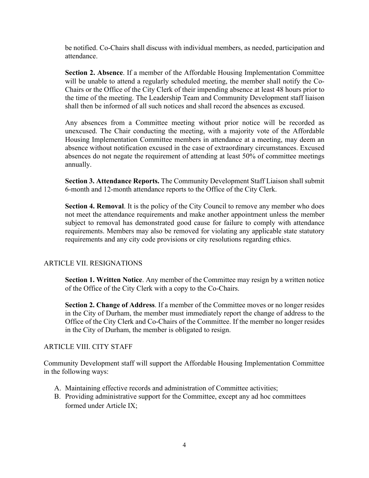be notified. Co-Chairs shall discuss with individual members, as needed, participation and attendance.

**Section 2. Absence**. If a member of the Affordable Housing Implementation Committee will be unable to attend a regularly scheduled meeting, the member shall notify the Co-Chairs or the Office of the City Clerk of their impending absence at least 48 hours prior to the time of the meeting. The Leadership Team and Community Development staff liaison shall then be informed of all such notices and shall record the absences as excused.

Any absences from a Committee meeting without prior notice will be recorded as unexcused. The Chair conducting the meeting, with a majority vote of the Affordable Housing Implementation Committee members in attendance at a meeting, may deem an absence without notification excused in the case of extraordinary circumstances. Excused absences do not negate the requirement of attending at least 50% of committee meetings annually.

**Section 3. Attendance Reports.** The Community Development Staff Liaison shall submit 6-month and 12-month attendance reports to the Office of the City Clerk.

**Section 4. Removal**. It is the policy of the City Council to remove any member who does not meet the attendance requirements and make another appointment unless the member subject to removal has demonstrated good cause for failure to comply with attendance requirements. Members may also be removed for violating any applicable state statutory requirements and any city code provisions or city resolutions regarding ethics.

# ARTICLE VII. RESIGNATIONS

**Section 1. Written Notice**. Any member of the Committee may resign by a written notice of the Office of the City Clerk with a copy to the Co-Chairs.

**Section 2. Change of Address**. If a member of the Committee moves or no longer resides in the City of Durham, the member must immediately report the change of address to the Office of the City Clerk and Co-Chairs of the Committee. If the member no longer resides in the City of Durham, the member is obligated to resign.

## ARTICLE VIII. CITY STAFF

Community Development staff will support the Affordable Housing Implementation Committee in the following ways:

- A. Maintaining effective records and administration of Committee activities;
- B. Providing administrative support for the Committee, except any ad hoc committees formed under Article IX;